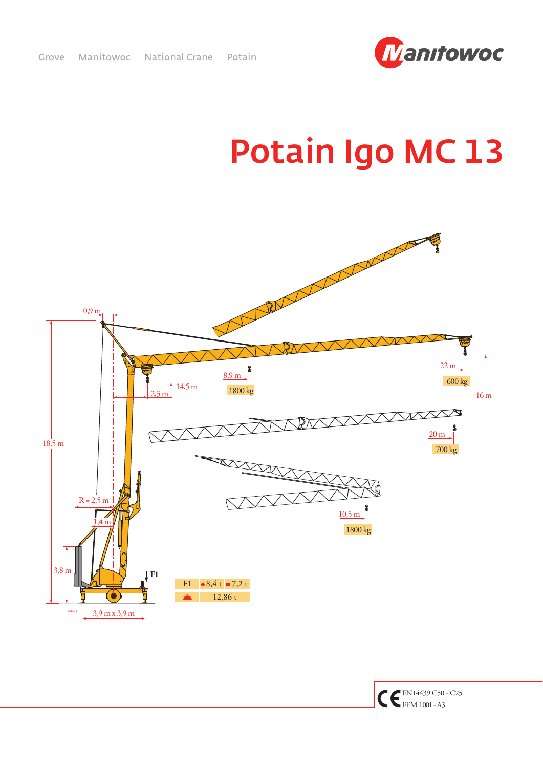

## Potain Igo MC 13



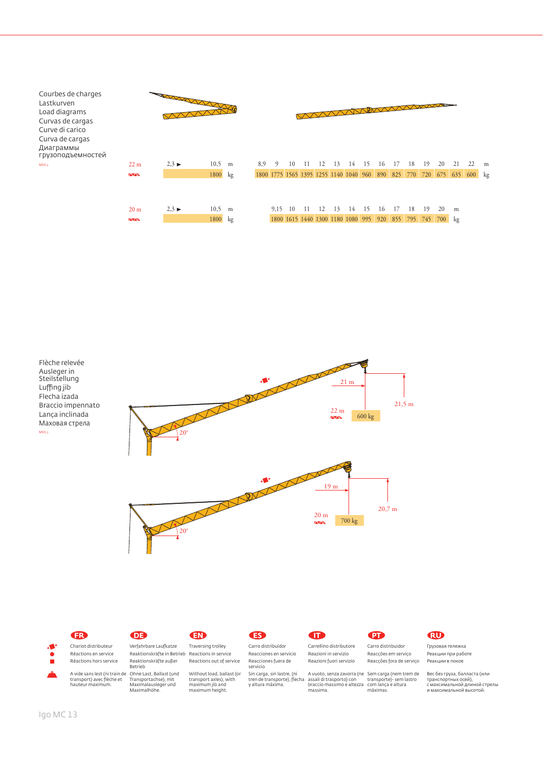| Courbes de charges<br>Lastkurven<br>Load diagrams<br>Curvas de cargas<br>Curve di carico<br>Curva de cargas<br>Диаграммы<br>грузоподъемностей |                                  | March 1977                |                 |   |     |      |      |    |    |                                                                |    |    | WANNAN |    |    |    |    |                                                                       |   |
|-----------------------------------------------------------------------------------------------------------------------------------------------|----------------------------------|---------------------------|-----------------|---|-----|------|------|----|----|----------------------------------------------------------------|----|----|--------|----|----|----|----|-----------------------------------------------------------------------|---|
| MDS <sub>3</sub>                                                                                                                              | 22 <sub>m</sub>                  | $2,3 \blacktriangleright$ | 10,5            | m | 8.9 | -9   | 10   | 12 | 13 | 14                                                             | 15 | 16 | 17     | 18 | 19 | 20 | 21 | 22                                                                    | m |
|                                                                                                                                               | <b>ZAVANA</b>                    |                           | 1800 kg         |   |     |      |      |    |    |                                                                |    |    |        |    |    |    |    | 1800 1775 1565 1395 1255 1140 1040 960 890 825 770 720 675 635 600 kg |   |
|                                                                                                                                               | 20 <sub>m</sub><br><b>ZAVANA</b> | $2,3 \blacktriangleright$ | 10,5<br>1800 kg | m |     | 9,15 | - 10 | 12 | 13 | 14<br>1800 1615 1440 1300 1180 1080 995 920 855 795 745 700 kg | 15 | 16 |        | 18 | 19 | 20 | m  |                                                                       |   |
|                                                                                                                                               |                                  |                           |                 |   |     |      |      |    |    |                                                                |    |    |        |    |    |    |    |                                                                       |   |





Courbes de charges Lastkurven Load diagrams Curvas de cargas Curve di carico Curva de cargas Диаграммы

> Chariot distributeur Réactions en service Réactions hors service

> > A vide sans lest (ni train de transport) avec flèche et hauteur maximum.

## **FR DE EN ES IT PT RU**

Verfahrbare Laufkatze Reaktionskräfte in Betrieb Reaktionskräfte außer Betrieb

Ohne Last, Ballast (und Transportachse), mit Maximalausleger und **Maximalause (direction)**<br>Transportachse), mit<br>Maximalhöhe.

Traversing trolley Reactions in service Reactions out of service Without load, ballast (or Carro distribuidor Reacciones en servicio Reacciones fuera de servicio

transport axles), with maximum jib and maximum height.

Sin carga, sin lastre, (ni tren de transporte), flecha y altura máxima.

Reazioni in servizio

Carrellino distributore Reazioni fuori servizio Carro distribuidor Reacções em serviço Reacções fora de serviço

A vuoto, senza zavorra (ne Sem carga (nem trem de assali di trasporto) con braccio massimo e altezza massima. transporte)- sem lastro com lança e altura máximas.

Грузовая тележка Реакции при работе Реакции в покое

Вес без груза, балласта (или транспортных осей), с максимальной длиной стрелы и максимальной высотой.

Æ.  $\bullet$ п

Luffing jib

MDS 3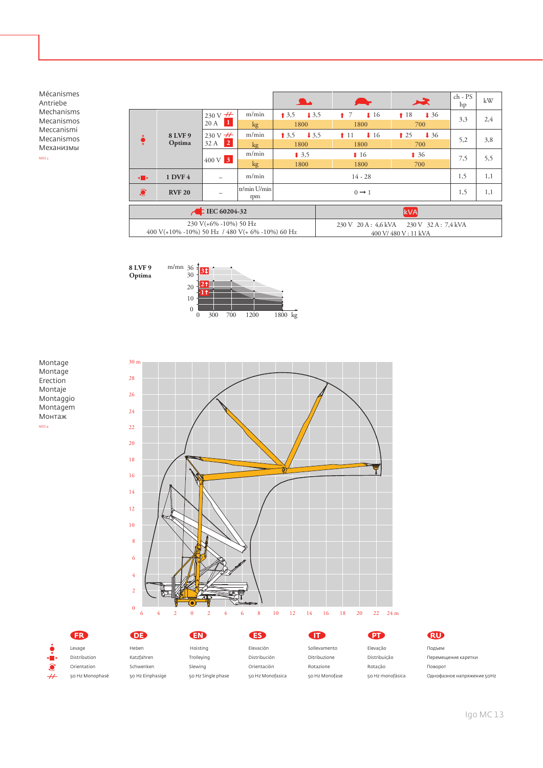Mécanismes Antriebe Mechanisms Mecanismos Meccanismi Mecanismos Механизмы MDS 3

|                                     |                                                 |                                              |                       |                          |                       | 一天                                                             | ch - PS<br>hp | kW  |  |  |
|-------------------------------------|-------------------------------------------------|----------------------------------------------|-----------------------|--------------------------|-----------------------|----------------------------------------------------------------|---------------|-----|--|--|
|                                     |                                                 | $230 \text{ V} \pm 1$                        | m/min                 | 13.5<br>13,5             | 17<br>$\downarrow$ 16 | 18<br>$\sqrt{36}$                                              | 3,3           | 2,4 |  |  |
|                                     |                                                 | $20 \text{ A}$ 1                             | kg                    | 1800                     | 1800                  | 700                                                            |               |     |  |  |
|                                     | 8 LVF 9                                         | $230 \text{ V} +$<br>32 A<br>$\vert 2 \vert$ | m/min                 | $\downarrow$ 3.5<br>13,5 | $\downarrow$ 16<br>11 | $\bullet$ 25<br>$\downarrow$ 36                                | 5,2           | 3,8 |  |  |
|                                     | Optima                                          |                                              | kg                    | 1800                     | 1800                  | 700                                                            |               |     |  |  |
|                                     |                                                 | $400 \text{ V}$ 3                            | m/min                 | $\bullet$ 3.5            | $\bullet$ 16          | $\textbf{\textup{1}}\,36$                                      | 7,5           | 5,5 |  |  |
|                                     |                                                 |                                              | kg                    | 1800                     | 1800                  | 700                                                            |               |     |  |  |
| ⊣∎∗                                 | 1 DVF 4                                         |                                              | m/min                 |                          | 1,5                   | 1,1                                                            |               |     |  |  |
| $\widehat{\bullet}$                 | <b>RVF 20</b>                                   |                                              | $tr/min$ U/min<br>rpm |                          |                       | 1,5                                                            | 1,1           |     |  |  |
| $\sqrt{$ IEC 60204-32<br><b>kVA</b> |                                                 |                                              |                       |                          |                       |                                                                |               |     |  |  |
|                                     | 400 V(+10% -10%) 50 Hz / 480 V(+ 6% -10%) 60 Hz | $230 V(+6\% -10\%) 50 Hz$                    |                       |                          |                       | 230 V 20 A: 4,6 kVA 230 V 32 A: 7,4 kVA<br>400 V/480 V: 11 kVA |               |     |  |  |
|                                     |                                                 |                                              |                       |                          |                       |                                                                |               |     |  |  |







|                               | <b>FR</b>       | (DE)             | EN                 | <b>ES</b>        | TT.            | <b>PT</b>        | <b>RU</b>                  |
|-------------------------------|-----------------|------------------|--------------------|------------------|----------------|------------------|----------------------------|
|                               | Levage          | Heben            | Hoisting           | Elevación        | Sollevamento   | Elevação         | Подъем                     |
| н в                           | Distribution    | Katzfahren       | Trolleying         | Distribución     | Ditribuzione   | Distribuição     | Перемещение каретки        |
|                               | Orientation     | Schwenken        | Slewing            | Orientación      | Rotazione      | Rotação          | Поворот                    |
| $^{\scriptscriptstyle +\! +}$ | 50 Hz Monophasé | 50 Hz Einphasige | 50 Hz Single phase | 50 Hz Monofasica | 50 Hz Monofase | 50 Hz monofásica | Однофазное напряжение 50Hz |